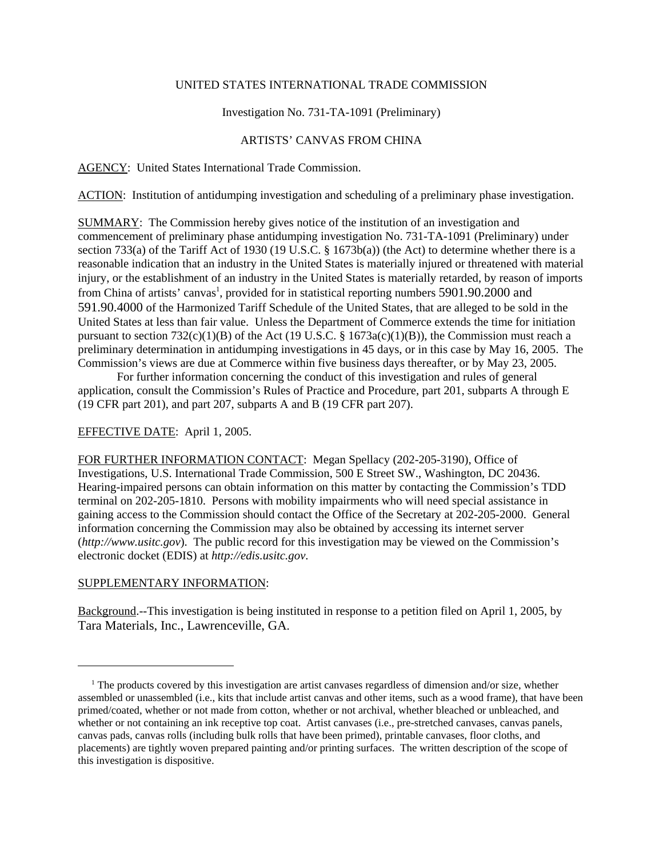#### UNITED STATES INTERNATIONAL TRADE COMMISSION

# Investigation No. 731-TA-1091 (Preliminary)

# ARTISTS' CANVAS FROM CHINA

### AGENCY: United States International Trade Commission.

ACTION: Institution of antidumping investigation and scheduling of a preliminary phase investigation.

SUMMARY: The Commission hereby gives notice of the institution of an investigation and commencement of preliminary phase antidumping investigation No. 731-TA-1091 (Preliminary) under section 733(a) of the Tariff Act of 1930 (19 U.S.C. § 1673b(a)) (the Act) to determine whether there is a reasonable indication that an industry in the United States is materially injured or threatened with material injury, or the establishment of an industry in the United States is materially retarded, by reason of imports from China of artists' canvas<sup>1</sup>, provided for in statistical reporting numbers 5901.90.2000 and 591.90.4000 of the Harmonized Tariff Schedule of the United States, that are alleged to be sold in the United States at less than fair value. Unless the Department of Commerce extends the time for initiation pursuant to section  $732(c)(1)(B)$  of the Act (19 U.S.C. § 1673a(c)(1)(B)), the Commission must reach a preliminary determination in antidumping investigations in 45 days, or in this case by May 16, 2005. The Commission's views are due at Commerce within five business days thereafter, or by May 23, 2005.

For further information concerning the conduct of this investigation and rules of general application, consult the Commission's Rules of Practice and Procedure, part 201, subparts A through E (19 CFR part 201), and part 207, subparts A and B (19 CFR part 207).

### EFFECTIVE DATE: April 1, 2005.

FOR FURTHER INFORMATION CONTACT: Megan Spellacy (202-205-3190), Office of Investigations, U.S. International Trade Commission, 500 E Street SW., Washington, DC 20436. Hearing-impaired persons can obtain information on this matter by contacting the Commission's TDD terminal on 202-205-1810. Persons with mobility impairments who will need special assistance in gaining access to the Commission should contact the Office of the Secretary at 202-205-2000. General information concerning the Commission may also be obtained by accessing its internet server (*http://www.usitc.gov*). The public record for this investigation may be viewed on the Commission's electronic docket (EDIS) at *http://edis.usitc.gov*.

# SUPPLEMENTARY INFORMATION:

Background.--This investigation is being instituted in response to a petition filed on April 1, 2005, by Tara Materials, Inc., Lawrenceville, GA.

<sup>&</sup>lt;sup>1</sup> The products covered by this investigation are artist canvases regardless of dimension and/or size, whether assembled or unassembled (i.e., kits that include artist canvas and other items, such as a wood frame), that have been primed/coated, whether or not made from cotton, whether or not archival, whether bleached or unbleached, and whether or not containing an ink receptive top coat. Artist canvases (i.e., pre-stretched canvases, canvas panels, canvas pads, canvas rolls (including bulk rolls that have been primed), printable canvases, floor cloths, and placements) are tightly woven prepared painting and/or printing surfaces. The written description of the scope of this investigation is dispositive.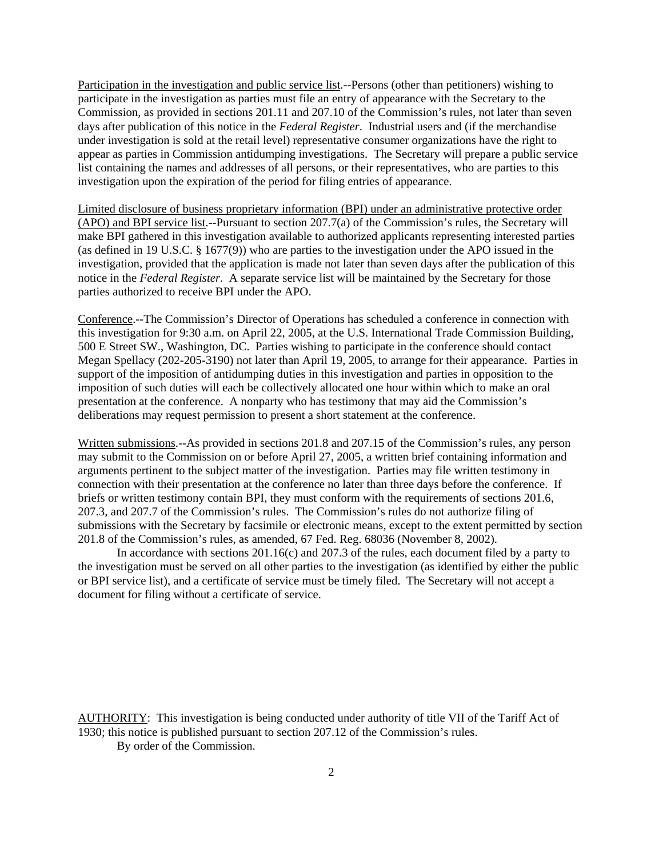Participation in the investigation and public service list.--Persons (other than petitioners) wishing to participate in the investigation as parties must file an entry of appearance with the Secretary to the Commission, as provided in sections 201.11 and 207.10 of the Commission's rules, not later than seven days after publication of this notice in the *Federal Register*. Industrial users and (if the merchandise under investigation is sold at the retail level) representative consumer organizations have the right to appear as parties in Commission antidumping investigations. The Secretary will prepare a public service list containing the names and addresses of all persons, or their representatives, who are parties to this investigation upon the expiration of the period for filing entries of appearance.

Limited disclosure of business proprietary information (BPI) under an administrative protective order (APO) and BPI service list.--Pursuant to section 207.7(a) of the Commission's rules, the Secretary will make BPI gathered in this investigation available to authorized applicants representing interested parties (as defined in 19 U.S.C. § 1677(9)) who are parties to the investigation under the APO issued in the investigation, provided that the application is made not later than seven days after the publication of this notice in the *Federal Register*. A separate service list will be maintained by the Secretary for those parties authorized to receive BPI under the APO.

Conference.--The Commission's Director of Operations has scheduled a conference in connection with this investigation for 9:30 a.m. on April 22, 2005, at the U.S. International Trade Commission Building, 500 E Street SW., Washington, DC. Parties wishing to participate in the conference should contact Megan Spellacy (202-205-3190) not later than April 19, 2005, to arrange for their appearance. Parties in support of the imposition of antidumping duties in this investigation and parties in opposition to the imposition of such duties will each be collectively allocated one hour within which to make an oral presentation at the conference. A nonparty who has testimony that may aid the Commission's deliberations may request permission to present a short statement at the conference.

Written submissions.--As provided in sections 201.8 and 207.15 of the Commission's rules, any person may submit to the Commission on or before April 27, 2005, a written brief containing information and arguments pertinent to the subject matter of the investigation. Parties may file written testimony in connection with their presentation at the conference no later than three days before the conference. If briefs or written testimony contain BPI, they must conform with the requirements of sections 201.6, 207.3, and 207.7 of the Commission's rules. The Commission's rules do not authorize filing of submissions with the Secretary by facsimile or electronic means, except to the extent permitted by section 201.8 of the Commission's rules, as amended, 67 Fed. Reg. 68036 (November 8, 2002).

In accordance with sections 201.16(c) and 207.3 of the rules, each document filed by a party to the investigation must be served on all other parties to the investigation (as identified by either the public or BPI service list), and a certificate of service must be timely filed. The Secretary will not accept a document for filing without a certificate of service.

AUTHORITY: This investigation is being conducted under authority of title VII of the Tariff Act of 1930; this notice is published pursuant to section 207.12 of the Commission's rules.

By order of the Commission.